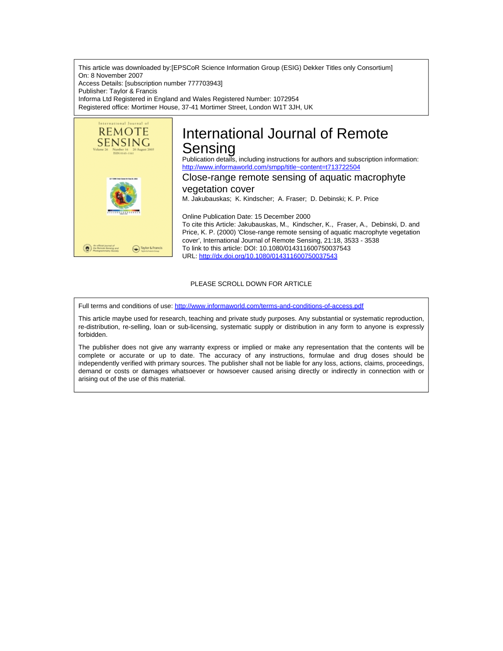This article was downloaded by:[EPSCoR Science Information Group (ESIG) Dekker Titles only Consortium] On: 8 November 2007 Access Details: [subscription number 777703943] Publisher: Taylor & Francis Informa Ltd Registered in England and Wales Registered Number: 1072954 Registered office: Mortimer House, 37-41 Mortimer Street, London W1T 3JH, UK



# International Journal of Remote Sensing

Publication details, including instructions for authors and subscription information: <http://www.informaworld.com/smpp/title~content=t713722504>

## Close-range remote sensing of aquatic macrophyte

vegetation cover M. Jakubauskas; K. Kindscher; A. Fraser; D. Debinski; K. P. Price

Online Publication Date: 15 December 2000 To cite this Article: Jakubauskas, M., Kindscher, K., Fraser, A., Debinski, D. and Price, K. P. (2000) 'Close-range remote sensing of aquatic macrophyte vegetation cover', International Journal of Remote Sensing, 21:18, 3533 - 3538 To link to this article: DOI: 10.1080/014311600750037543 URL: <http://dx.doi.org/10.1080/014311600750037543>

### PLEASE SCROLL DOWN FOR ARTICLE

Full terms and conditions of use: <http://www.informaworld.com/terms-and-conditions-of-access.pdf>

This article maybe used for research, teaching and private study purposes. Any substantial or systematic reproduction, re-distribution, re-selling, loan or sub-licensing, systematic supply or distribution in any form to anyone is expressly forbidden.

The publisher does not give any warranty express or implied or make any representation that the contents will be complete or accurate or up to date. The accuracy of any instructions, formulae and drug doses should be independently verified with primary sources. The publisher shall not be liable for any loss, actions, claims, proceedings, demand or costs or damages whatsoever or howsoever caused arising directly or indirectly in connection with or arising out of the use of this material.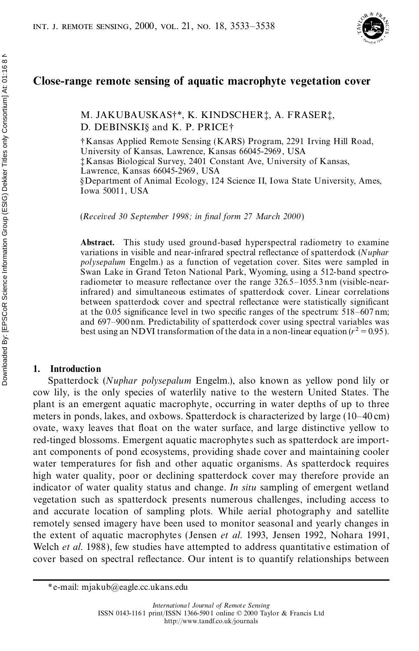

## **Close-range remote sensing of aquatic macrophyte vegetation cover**

M. JAKUBAUSKAS†\*, K. KINDSCHER‡, A. FRASER‡, D. DEBINSKI§ and K. P. PRICE†

†Kansas Applied Remote Sensing (KARS) Program, 2291 Irving Hill Road, University of Kansas, Lawrence, Kansas 66045-2969 , USA ‡Kansas Biological Survey, 2401 Constant Ave, University of Kansas, Lawrence, Kansas 66045-2969 , USA §Department of Animal Ecology, 124 Science II, Iowa State University, Ames, Iowa 50011, USA

(*Received 30 September 1998; in nal form 27 March 2000*)

**Abstract.** This study used ground-based hyperspectral radiometry to examine variations in visible and near-infrared spectral reflectance of spatterdock (*Nuphar polysepalum* Engelm.) as a function of vegetation cover. Sites were sampled in Swan Lake in Grand Teton National Park, Wyoming, using a 512-band spectro radiometer to measure reflectance over the range  $326.5-1055.3$  nm (visible-nearinfrared) and simultaneous estimates of spatterdock cover. Linear correlations between spatterdock cover and spectral reflectance were statistically significant at the 0.05 significance level in two specific ranges of the spectrum:  $518-607$  nm; and 697–900 nm. Predictability of spatterdock cover using spectral variables was best using an NDVI transformation of the data in a non-linear equation  $(r^2 = 0.95)$ .

#### **1. Introduction**

Spatterdock (*Nuphar polysepalum* Engelm.), also known as yellow pond lily or cow lily, is the only species of waterlily native to the western United States. The plant is an emergent aquatic macrophyte, occurring in water depths of up to three meters in ponds, lakes, and oxbows. Spatterdock is characterized by large (10–40 cm) ovate, waxy leaves that float on the water surface, and large distinctive yellow to red-tinged blossoms. Emergent aquatic macrophytes such as spatterdock are import ant components of pond ecosystems, providing shade cover and maintaining cooler water temperatures for fish and other aquatic organisms. As spatterdock requires high water quality, poor or declining spatterdock cover may therefore provide an indicator of water quality status and change. *In situ* sampling of emergent wetland vegetation such as spatterdock presents numerous challenges, including access to and accurate location of sampling plots. While aerial photography and satellite remotely sensed imagery have been used to monitor seasonal and yearly changes in the extent of aquatic macrophytes (Jensen *et al*. 1993, Jensen 1992, Nohara 1991, Welch *et al*. 1988), few studies have attempted to address quantitative estimation of cover based on spectral reflectance. Our intent is to quantify relationships between

<sup>\*</sup>e-mail: mjakub@eagle.cc.ukans.edu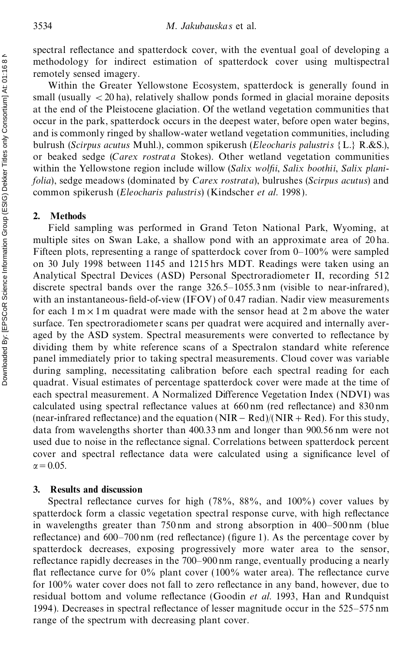spectral reflectance and spatterdock cover, with the eventual goal of developing a methodology for indirect estimation of spatterdock cover using multispectral remotely sensed imagery.

Within the Greater Yellowstone Ecosystem, spatterdock is generally found in small (usually  $\langle 20 \text{ ha} \rangle$ , relatively shallow ponds formed in glacial moraine deposits at the end of the Pleistocene glaciation. Of the wetland vegetation communities that occur in the park, spatterdock occurs in the deepest water, before open water begins, and is commonly ringed by shallow-water wetland vegetation communities, including bulrush (*Scirpus acutus* Muhl.), common spikerush (*Eleocharis palustris* {L.} R.&S.), or beaked sedge (*Carex rostrata* Stokes). Other wetland vegetation communities within the Yellowstone region include willow (*Salix wolfii*, *Salix boothii*, *Salix planifolia*), sedge meadows (dominated by *Carex rostrata*), bulrushes (*Scirpus acutus*) and common spikerush (*Eleocharis palustris*) (Kindscher *et al*. 1998 ).

#### **2. Methods**

Field sampling was performed in Grand Teton National Park, Wyoming, at multiple sites on Swan Lake, a shallow pond with an approximate area of 20 ha. Fifteen plots, representing a range of spatterdock cover from 0–100% were sampled on 30 July 1998 between 1145 and 1215 hrs MDT. Readings were taken using an Analytical Spectral Devices (ASD) Personal Spectroradiometer II, recording 512 discrete spectral bands over the range 326.5–1055.3 nm (visible to near-infrared), with an instantaneous-field-of-view (IFOV) of 0.47 radian. Nadir view measurements for each  $1 \text{ m} \times 1 \text{ m}$  quadrat were made with the sensor head at 2 m above the water surface. Ten spectroradiometer scans per quadrat were acquired and internally aver aged by the ASD system. Spectral measurements were converted to reflectance by dividing them by white reference scans of a Spectralon standard white reference panel immediately prior to taking spectral measurements. Cloud cover was variable during sampling, necessitating calibration before each spectral reading for each quadrat. Visual estimates of percentage spatterdock cover were made at the time of each spectral measurement. A Normalized Difference Vegetation Index (NDVI) was calculated using spectral reflectance values at  $660 \text{ nm}$  (red reflectance) and  $830 \text{ nm}$ (near-infrared reflectance) and the equation  $(NIR – Red)/(NIR + Red)$ . For this study, data from wavelengths shorter than 400.33 nm and longer than 900.56 nm were not used due to noise in the reflectance signal. Correlations between spatterdock percent cover and spectral reflectance data were calculated using a significance level of  $\alpha$  = 0.05.

#### **3. Results and discussion**

Spectral reflectance curves for high  $(78\%, 88\%, \text{ and } 100\%)$  cover values by spatterdock form a classic vegetation spectral response curve, with high reflectance in wavelengths greater than 750 nm and strong absorption in 400–500 nm (blue reflectance) and  $600-700$  nm (red reflectance) (figure 1). As the percentage cover by spatterdock decreases, exposing progressively more water area to the sensor, reflectance rapidly decreases in the 700–900 nm range, eventually producing a nearly flat reflectance curve for  $0\%$  plant cover (100% water area). The reflectance curve for  $100\%$  water cover does not fall to zero reflectance in any band, however, due to residual bottom and volume reflectance (Goodin *et al.* 1993, Han and Rundquist 1994). Decreases in spectral reflectance of lesser magnitude occur in the  $525-575$  nm range of the spectrum with decreasing plant cover.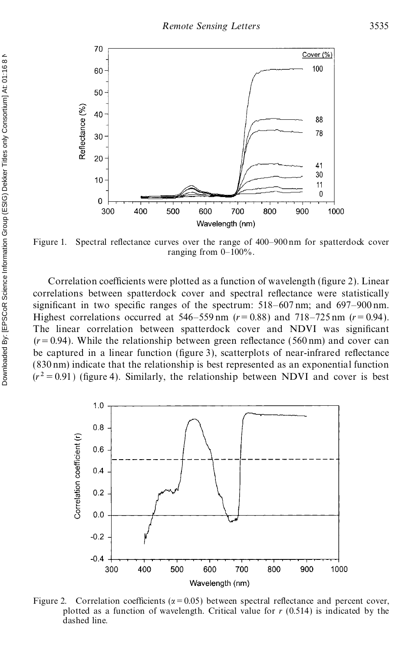

Figure 1. Spectral reflectance curves over the range of 400–900 nm for spatterdock cover ranging from  $0-100\%$ .

Correlation coefficients were plotted as a function of wavelength (figure 2). Linear correlations between spatterdock cover and spectral reflectance were statistically significant in two specific ranges of the spectrum:  $518-607$  nm; and  $697-900$  nm. Highest correlations occurred at  $546 - 559$  nm  $(r = 0.88)$  and  $718 - 725$  nm  $(r = 0.94)$ . The linear correlation between spatterdock cover and NDVI was significant  $(r=0.94)$ . While the relationship between green reflectance (560 nm) and cover can be captured in a linear function (figure 3), scatterplots of near-infrared reflectance (830 nm) indicate that the relationship is best represented as an exponential function  $(r^2 = 0.91)$  (figure 4). Similarly, the relationship between NDVI and cover is best



Figure 2. Correlation coefficients ( $\alpha$ =0.05) between spectral reflectance and percent cover, plotted as a function of wavelength. Critical value for *r* (0.514) is indicated by the dashed line.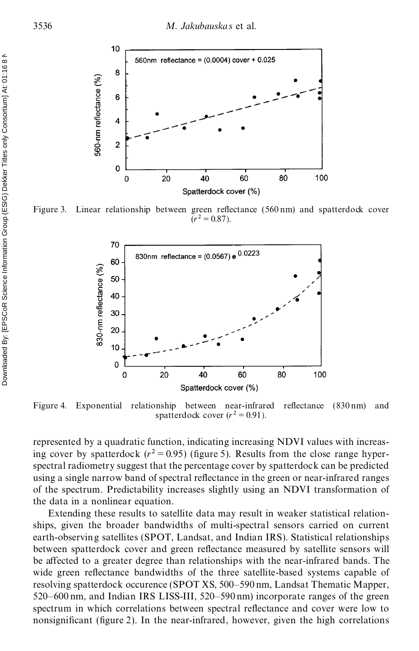

Figure 3. Linear relationship between green reflectance  $(560 \text{ nm})$  and spatterdock cover  $(r^2 = 0.87)$ .



Figure 4. Exponential relationship between near-infrared reflectance  $(830 \text{ nm})$  and spatterdock cover  $(r^2 = 0.91)$ .

represented by a quadratic function, indicating increasing NDVI values with increasing cover by spatterdock  $(r^2 = 0.95)$  (figure 5). Results from the close range hyperspectral radiometry suggest that the percentage cover by spatterdock can be predicted using a single narrow band of spectral reflectance in the green or near-infrared ranges of the spectrum. Predictability increases slightly using an NDVI transformation of the data in a nonlinear equation.

Extending these results to satellite data may result in weaker statistical relationships, given the broader bandwidths of multi-spectral sensors carried on current earth-observing satellites (SPOT, Landsat, and Indian IRS). Statistical relationships between spatterdock cover and green reflectance measured by satellite sensors will be affected to a greater degree than relationships with the near-infrared bands. The wide green reflectance bandwidths of the three satellite-based systems capable of resolving spatterdock occurence (SPOT XS, 500–590 nm, Landsat Thematic Mapper, 520–600 nm, and Indian IRS LISS-III, 520–590 nm) incorporate ranges of the green spectrum in which correlations between spectral reflectance and cover were low to nonsignificant (figure 2). In the near-infrared, however, given the high correlations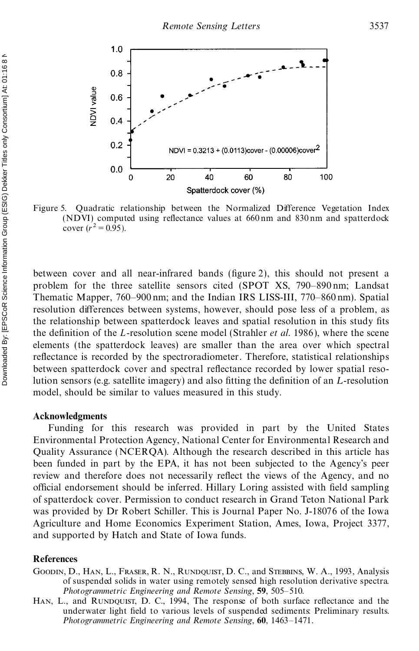

Figure 5. Quadratic relationship between the Normalized Difference Vegetation Index (NDVI) computed using reflectance values at  $660 \text{ nm}$  and  $830 \text{ nm}$  and spatterdock cover  $(r^2 = 0.95)$ .

between cover and all near-infrared bands (figure 2), this should not present a problem for the three satellite sensors cited (SPOT XS, 790–890 nm; Landsat Thematic Mapper, 760–900 nm; and the Indian IRS LISS-III, 770–860 nm). Spatial resolution differences between systems, however, should pose less of a problem, as the relationship between spatterdock leaves and spatial resolution in this study fits the definition of the *L*-resolution scene model (Strahler *et al.* 1986), where the scene elements (the spatterdock leaves) are smaller than the area over which spectral reflectance is recorded by the spectroradiometer. Therefore, statistical relationships between spatterdock cover and spectral reflectance recorded by lower spatial resolution sensors (e.g. satellite imagery) and also fitting the definition of an *L*-resolution model, should be similar to values measured in this study.

#### **Acknowledgments**

Funding for this research was provided in part by the United States Environmental Protection Agency, National Center for Environmental Research and Quality Assurance (NCERQA). Although the research described in this article has been funded in part by the EPA, it has not been subjected to the Agency's peer review and therefore does not necessarily reflect the views of the Agency, and no official endorsement should be inferred. Hillary Loring assisted with field sampling of spatterdock cover. Permission to conduct research in Grand Teton National Park was provided by Dr Robert Schiller. This is Journal Paper No. J-18076 of the Iowa Agriculture and Home Economics Experiment Station, Ames, Iowa, Project 3377, and supported by Hatch and State of Iowa funds.

#### **References**

- GOODIN, D., HAN, L., FRASER, R. N., RUNDQUIST, D. C., and STEBBINS, W. A., 1993, Analysis of suspended solids in water using remotely sensed high resolution derivative spectra. *Photogrammetric Engineering and Remote Sensing*, **59**, 505–510.
- HAN, L., and RUNDQUIST, D. C., 1994, The response of both surface reflectance and the underwater light field to various levels of suspended sediments: Preliminary results. *Photogrammetric Engineering and Remote Sensing*, **60**, 1463–1471.